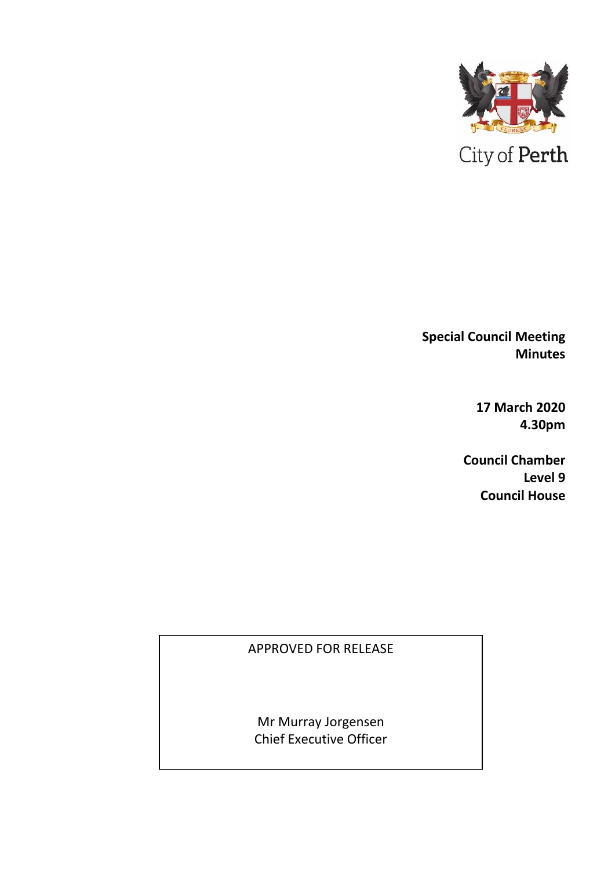

**Special Council Meeting Minutes** 

> **17 March 2020 4.30pm**

**Council Chamber Level 9 Council House**

APPROVED FOR RELEASE

Mr Murray Jorgensen Chief Executive Officer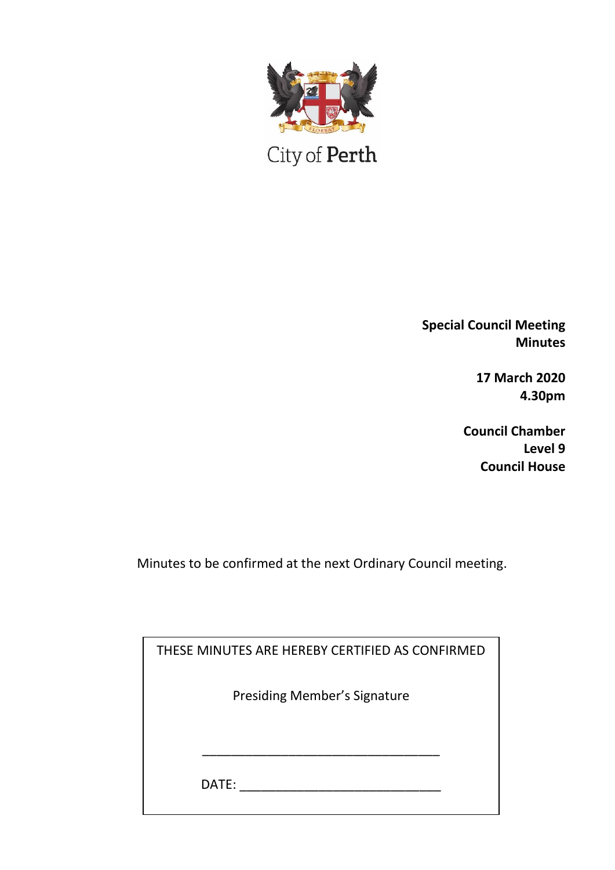

City of Perth

**Special Council Meeting Minutes**

> **17 March 2020 4.30pm**

**Council Chamber Level 9 Council House**

Minutes to be confirmed at the next Ordinary Council meeting.

| THESE MINUTES ARE HEREBY CERTIFIED AS CONFIRMED |  |
|-------------------------------------------------|--|
| <b>Presiding Member's Signature</b>             |  |
|                                                 |  |
| DATE:                                           |  |
|                                                 |  |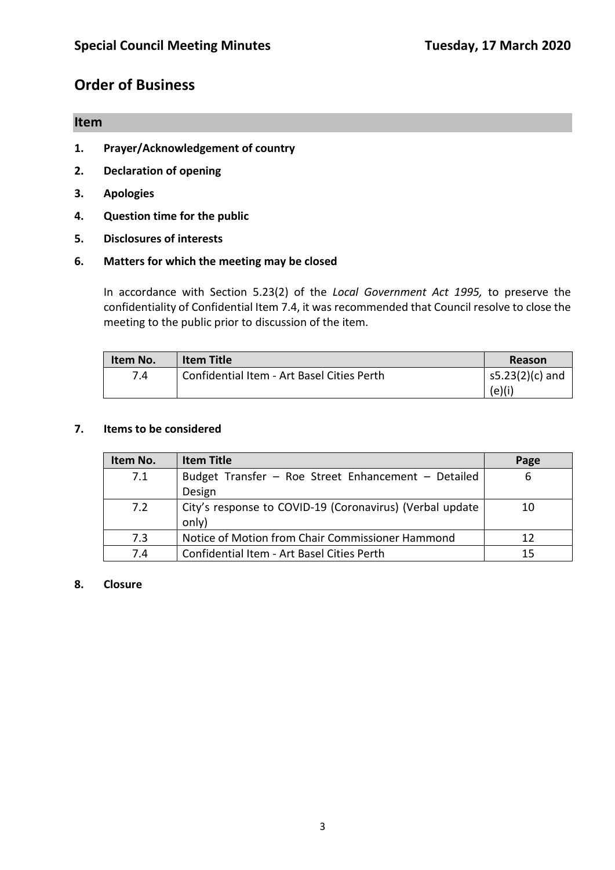# **Order of Business**

#### **Item**

- **1. Prayer/Acknowledgement of country**
- **2. Declaration of opening**
- **3. Apologies**
- **4. Question time for the public**
- **5. Disclosures of interests**

#### **6. Matters for which the meeting may be closed**

In accordance with Section 5.23(2) of the *Local Government Act 1995,* to preserve the confidentiality of Confidential Item 7.4, it was recommended that Council resolve to close the meeting to the public prior to discussion of the item.

| Item No. | <b>Item Title</b>                          | Reason            |
|----------|--------------------------------------------|-------------------|
| 7.4      | Confidential Item - Art Basel Cities Perth | $s5.23(2)(c)$ and |
|          |                                            | (e)(i)            |

#### **7. Items to be considered**

| Item No. | <b>Item Title</b>                                        | Page |
|----------|----------------------------------------------------------|------|
| 7.1      | Budget Transfer - Roe Street Enhancement - Detailed      | 6    |
|          | Design                                                   |      |
| 7.2      | City's response to COVID-19 (Coronavirus) (Verbal update | 10   |
|          | only)                                                    |      |
| 7.3      | Notice of Motion from Chair Commissioner Hammond         | 12   |
| 7.4      | Confidential Item - Art Basel Cities Perth               | 15   |

#### **8. Closure**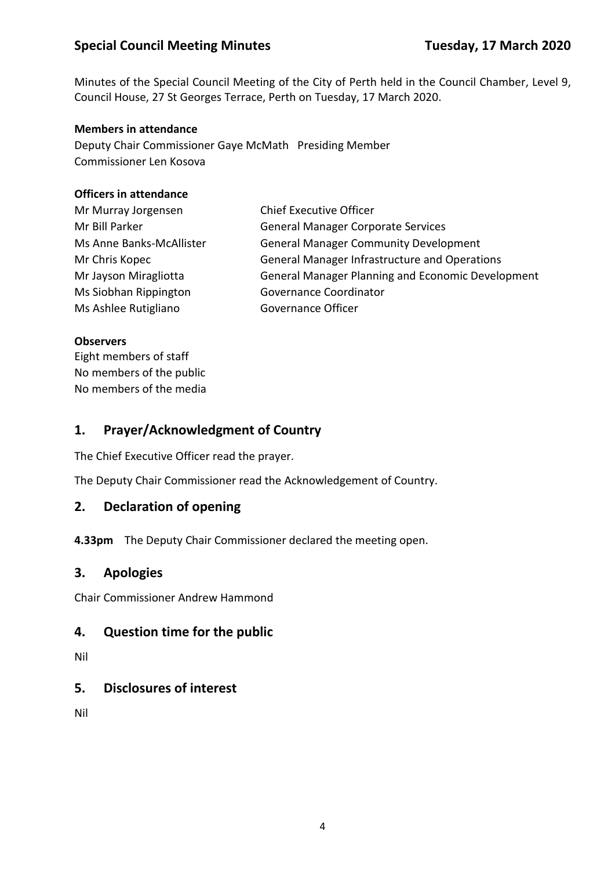Minutes of the Special Council Meeting of the City of Perth held in the Council Chamber, Level 9, Council House, 27 St Georges Terrace, Perth on Tuesday, 17 March 2020.

#### **Members in attendance**

Deputy Chair Commissioner Gaye McMath Presiding Member Commissioner Len Kosova

#### **Officers in attendance**

| Mr Murray Jorgensen      | <b>Chief Executive Officer</b>                       |
|--------------------------|------------------------------------------------------|
| Mr Bill Parker           | <b>General Manager Corporate Services</b>            |
| Ms Anne Banks-McAllister | <b>General Manager Community Development</b>         |
| Mr Chris Kopec           | <b>General Manager Infrastructure and Operations</b> |
| Mr Jayson Miragliotta    | General Manager Planning and Economic Development    |
| Ms Siobhan Rippington    | Governance Coordinator                               |
| Ms Ashlee Rutigliano     | Governance Officer                                   |

#### **Observers**

Eight members of staff No members of the public No members of the media

### **1. Prayer/Acknowledgment of Country**

The Chief Executive Officer read the prayer.

The Deputy Chair Commissioner read the Acknowledgement of Country.

### **2. Declaration of opening**

**4.33pm** The Deputy Chair Commissioner declared the meeting open.

### **3. Apologies**

Chair Commissioner Andrew Hammond

### **4. Question time for the public**

Nil

### **5. Disclosures of interest**

Nil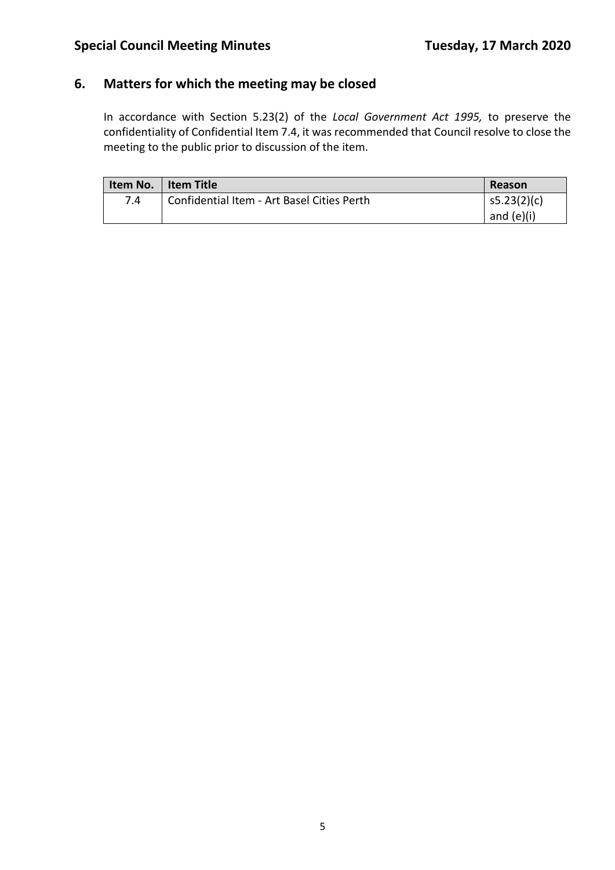## **6. Matters for which the meeting may be closed**

In accordance with Section 5.23(2) of the *Local Government Act 1995,* to preserve the confidentiality of Confidential Item 7.4, it was recommended that Council resolve to close the meeting to the public prior to discussion of the item.

| Item No. | <b>Item Title</b>                          | Reason       |
|----------|--------------------------------------------|--------------|
| 7.4      | Confidential Item - Art Basel Cities Perth | s5.23(2)(c)  |
|          |                                            | and $(e)(i)$ |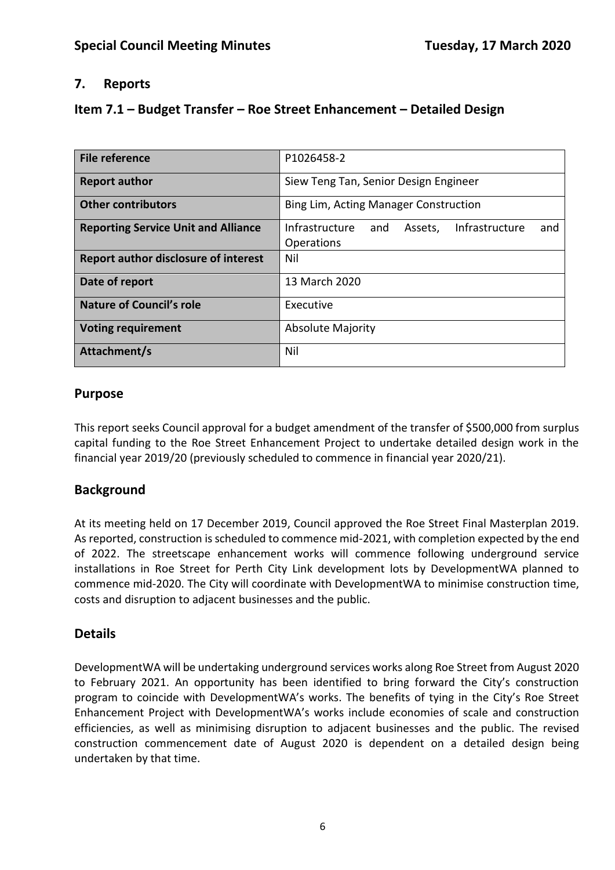## **7. Reports**

## **Item 7.1 – Budget Transfer – Roe Street Enhancement – Detailed Design**

| <b>File reference</b>                       | P1026458-2                                                |  |
|---------------------------------------------|-----------------------------------------------------------|--|
| <b>Report author</b>                        | Siew Teng Tan, Senior Design Engineer                     |  |
| <b>Other contributors</b>                   | Bing Lim, Acting Manager Construction                     |  |
| <b>Reporting Service Unit and Alliance</b>  | Infrastructure<br>Infrastructure<br>and<br>Assets,<br>and |  |
|                                             | Operations                                                |  |
| <b>Report author disclosure of interest</b> | Nil                                                       |  |
| Date of report                              | 13 March 2020                                             |  |
| <b>Nature of Council's role</b>             | Executive                                                 |  |
| <b>Voting requirement</b>                   | <b>Absolute Majority</b>                                  |  |
| Attachment/s                                | Nil                                                       |  |

### **Purpose**

This report seeks Council approval for a budget amendment of the transfer of \$500,000 from surplus capital funding to the Roe Street Enhancement Project to undertake detailed design work in the financial year 2019/20 (previously scheduled to commence in financial year 2020/21).

## **Background**

At its meeting held on 17 December 2019, Council approved the Roe Street Final Masterplan 2019. As reported, construction is scheduled to commence mid-2021, with completion expected by the end of 2022. The streetscape enhancement works will commence following underground service installations in Roe Street for Perth City Link development lots by DevelopmentWA planned to commence mid-2020. The City will coordinate with DevelopmentWA to minimise construction time, costs and disruption to adjacent businesses and the public.

## **Details**

DevelopmentWA will be undertaking underground services works along Roe Street from August 2020 to February 2021. An opportunity has been identified to bring forward the City's construction program to coincide with DevelopmentWA's works. The benefits of tying in the City's Roe Street Enhancement Project with DevelopmentWA's works include economies of scale and construction efficiencies, as well as minimising disruption to adjacent businesses and the public. The revised construction commencement date of August 2020 is dependent on a detailed design being undertaken by that time.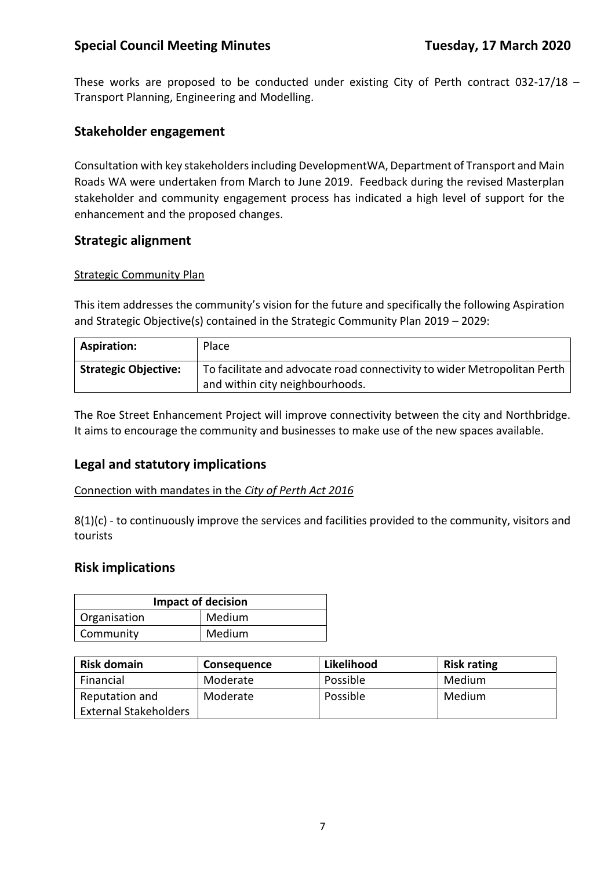These works are proposed to be conducted under existing City of Perth contract 032-17/18 – Transport Planning, Engineering and Modelling.

#### **Stakeholder engagement**

Consultation with key stakeholders including DevelopmentWA, Department of Transport and Main Roads WA were undertaken from March to June 2019. Feedback during the revised Masterplan stakeholder and community engagement process has indicated a high level of support for the enhancement and the proposed changes.

#### **Strategic alignment**

#### Strategic Community Plan

This item addresses the community's vision for the future and specifically the following Aspiration and Strategic Objective(s) contained in the Strategic Community Plan 2019 – 2029:

| <b>Aspiration:</b>          | Place                                                                                                       |
|-----------------------------|-------------------------------------------------------------------------------------------------------------|
| <b>Strategic Objective:</b> | To facilitate and advocate road connectivity to wider Metropolitan Perth<br>and within city neighbourhoods. |

The Roe Street Enhancement Project will improve connectivity between the city and Northbridge. It aims to encourage the community and businesses to make use of the new spaces available.

### **Legal and statutory implications**

Connection with mandates in the *City of Perth Act 2016*

8(1)(c) - to continuously improve the services and facilities provided to the community, visitors and tourists

#### **Risk implications**

| <b>Impact of decision</b> |        |  |
|---------------------------|--------|--|
| <sup>1</sup> Organisation | Medium |  |
| Community                 | Medium |  |

| <b>Risk domain</b>           | <b>Consequence</b> | Likelihood | <b>Risk rating</b> |
|------------------------------|--------------------|------------|--------------------|
| Financial                    | Moderate           | Possible   | Medium             |
| Reputation and               | Moderate           | Possible   | Medium             |
| <b>External Stakeholders</b> |                    |            |                    |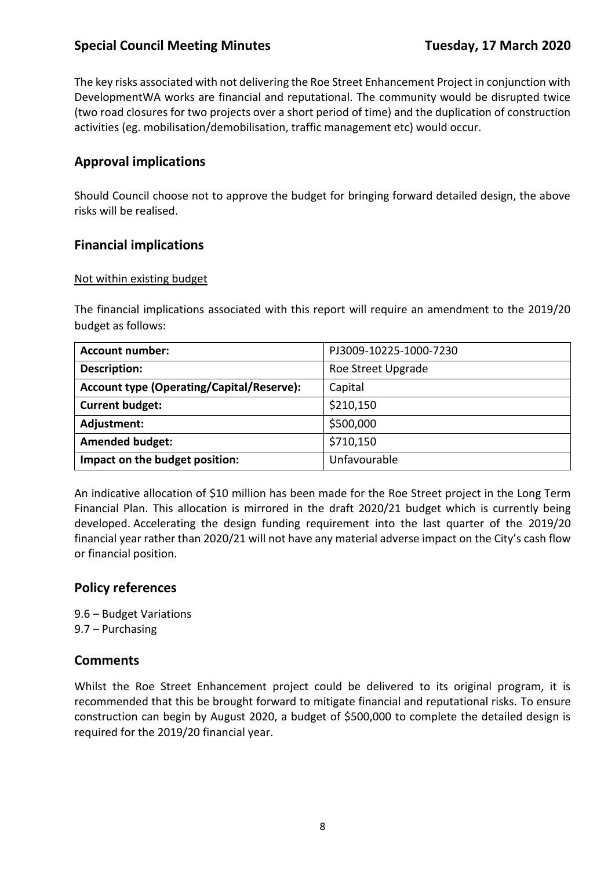The key risks associated with not delivering the Roe Street Enhancement Project in conjunction with DevelopmentWA works are financial and reputational. The community would be disrupted twice (two road closures for two projects over a short period of time) and the duplication of construction activities (eg. mobilisation/demobilisation, traffic management etc) would occur.

## **Approval implications**

Should Council choose not to approve the budget for bringing forward detailed design, the above risks will be realised.

### **Financial implications**

#### Not within existing budget

The financial implications associated with this report will require an amendment to the 2019/20 budget as follows:

| <b>Account number:</b>                           | PJ3009-10225-1000-7230 |
|--------------------------------------------------|------------------------|
| <b>Description:</b>                              | Roe Street Upgrade     |
| <b>Account type (Operating/Capital/Reserve):</b> | Capital                |
| <b>Current budget:</b>                           | \$210,150              |
| Adjustment:                                      | \$500,000              |
| <b>Amended budget:</b>                           | \$710,150              |
| Impact on the budget position:                   | Unfavourable           |

An indicative allocation of \$10 million has been made for the Roe Street project in the Long Term Financial Plan. This allocation is mirrored in the draft 2020/21 budget which is currently being developed. Accelerating the design funding requirement into the last quarter of the 2019/20 financial year rather than 2020/21 will not have any material adverse impact on the City's cash flow or financial position.

### **Policy references**

9.6 – Budget Variations 9.7 – Purchasing

### **Comments**

Whilst the Roe Street Enhancement project could be delivered to its original program, it is recommended that this be brought forward to mitigate financial and reputational risks. To ensure construction can begin by August 2020, a budget of \$500,000 to complete the detailed design is required for the 2019/20 financial year.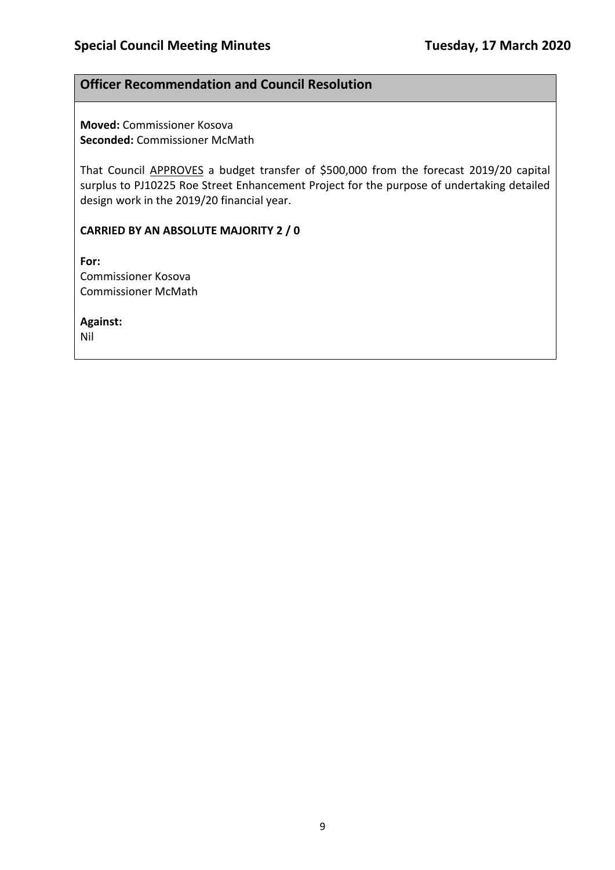### **Officer Recommendation and Council Resolution**

**Moved:** Commissioner Kosova **Seconded:** Commissioner McMath

That Council APPROVES a budget transfer of \$500,000 from the forecast 2019/20 capital surplus to PJ10225 Roe Street Enhancement Project for the purpose of undertaking detailed design work in the 2019/20 financial year.

#### **CARRIED BY AN ABSOLUTE MAJORITY 2 / 0**

**For:**  Commissioner Kosova Commissioner McMath

**Against:** 

Nil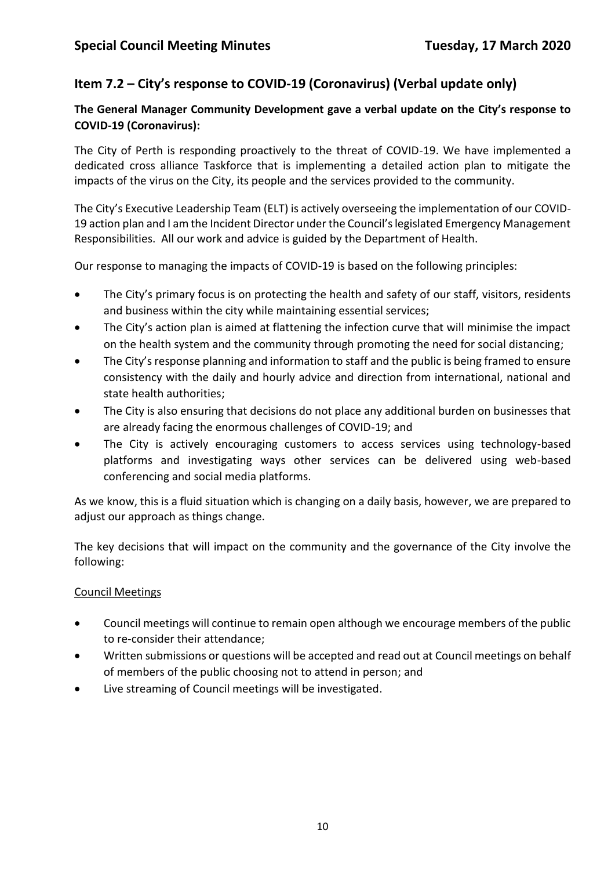## **Item 7.2 – City's response to COVID-19 (Coronavirus) (Verbal update only)**

### **The General Manager Community Development gave a verbal update on the City's response to COVID-19 (Coronavirus):**

The City of Perth is responding proactively to the threat of COVID-19. We have implemented a dedicated cross alliance Taskforce that is implementing a detailed action plan to mitigate the impacts of the virus on the City, its people and the services provided to the community.

The City's Executive Leadership Team (ELT) is actively overseeing the implementation of our COVID-19 action plan and I am the Incident Director under the Council's legislated Emergency Management Responsibilities. All our work and advice is guided by the Department of Health.

Our response to managing the impacts of COVID-19 is based on the following principles:

- The City's primary focus is on protecting the health and safety of our staff, visitors, residents and business within the city while maintaining essential services;
- The City's action plan is aimed at flattening the infection curve that will minimise the impact on the health system and the community through promoting the need for social distancing;
- The City's response planning and information to staff and the public is being framed to ensure consistency with the daily and hourly advice and direction from international, national and state health authorities;
- The City is also ensuring that decisions do not place any additional burden on businesses that are already facing the enormous challenges of COVID-19; and
- The City is actively encouraging customers to access services using technology-based platforms and investigating ways other services can be delivered using web-based conferencing and social media platforms.

As we know, this is a fluid situation which is changing on a daily basis, however, we are prepared to adjust our approach as things change.

The key decisions that will impact on the community and the governance of the City involve the following:

### Council Meetings

- Council meetings will continue to remain open although we encourage members of the public to re-consider their attendance;
- Written submissions or questions will be accepted and read out at Council meetings on behalf of members of the public choosing not to attend in person; and
- Live streaming of Council meetings will be investigated.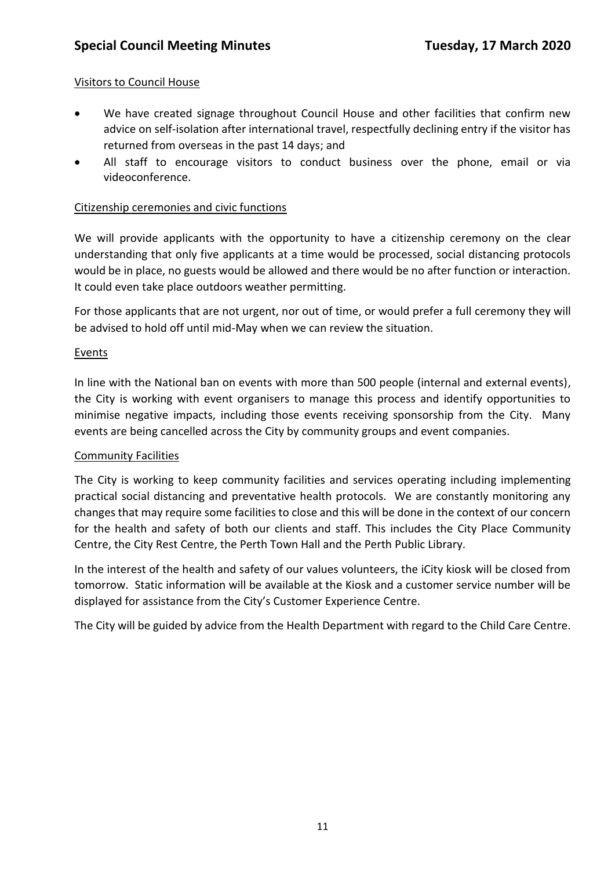#### Visitors to Council House

- We have created signage throughout Council House and other facilities that confirm new advice on self-isolation after international travel, respectfully declining entry if the visitor has returned from overseas in the past 14 days; and
- All staff to encourage visitors to conduct business over the phone, email or via videoconference.

#### Citizenship ceremonies and civic functions

We will provide applicants with the opportunity to have a citizenship ceremony on the clear understanding that only five applicants at a time would be processed, social distancing protocols would be in place, no guests would be allowed and there would be no after function or interaction. It could even take place outdoors weather permitting.

For those applicants that are not urgent, nor out of time, or would prefer a full ceremony they will be advised to hold off until mid-May when we can review the situation.

#### **Events**

In line with the National ban on events with more than 500 people (internal and external events), the City is working with event organisers to manage this process and identify opportunities to minimise negative impacts, including those events receiving sponsorship from the City. Many events are being cancelled across the City by community groups and event companies.

#### Community Facilities

The City is working to keep community facilities and services operating including implementing practical social distancing and preventative health protocols. We are constantly monitoring any changes that may require some facilities to close and this will be done in the context of our concern for the health and safety of both our clients and staff. This includes the City Place Community Centre, the City Rest Centre, the Perth Town Hall and the Perth Public Library.

In the interest of the health and safety of our values volunteers, the iCity kiosk will be closed from tomorrow. Static information will be available at the Kiosk and a customer service number will be displayed for assistance from the City's Customer Experience Centre.

The City will be guided by advice from the Health Department with regard to the Child Care Centre.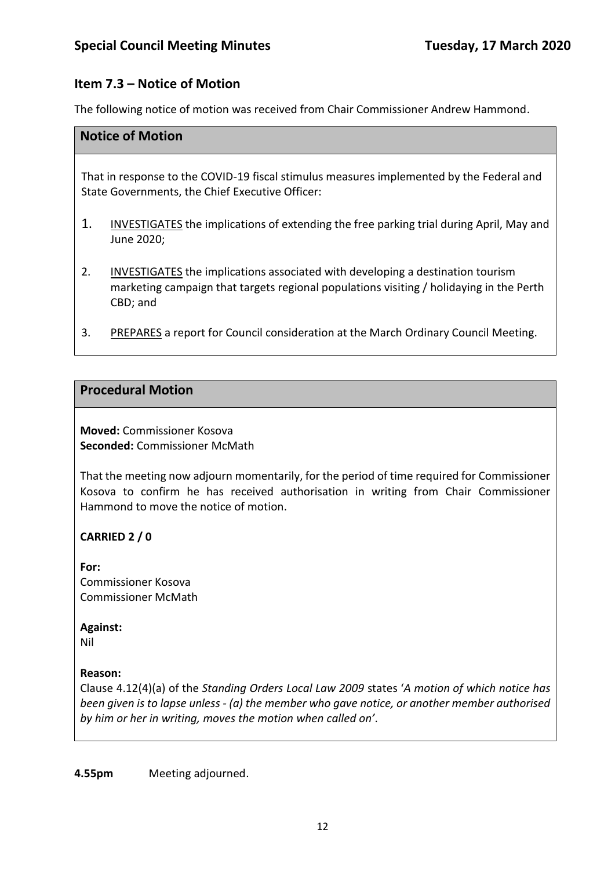## **Item 7.3 – Notice of Motion**

The following notice of motion was received from Chair Commissioner Andrew Hammond.

#### **Notice of Motion**

That in response to the COVID-19 fiscal stimulus measures implemented by the Federal and State Governments, the Chief Executive Officer:

- 1. INVESTIGATES the implications of extending the free parking trial during April, May and June 2020;
- 2. INVESTIGATES the implications associated with developing a destination tourism marketing campaign that targets regional populations visiting / holidaying in the Perth CBD; and
- 3. PREPARES a report for Council consideration at the March Ordinary Council Meeting.

#### **Procedural Motion**

**Moved:** Commissioner Kosova **Seconded:** Commissioner McMath

That the meeting now adjourn momentarily, for the period of time required for Commissioner Kosova to confirm he has received authorisation in writing from Chair Commissioner Hammond to move the notice of motion.

### **CARRIED 2 / 0**

**For:**  Commissioner Kosova Commissioner McMath

#### **Against:**

Nil

#### **Reason:**

Clause 4.12(4)(a) of the *Standing Orders Local Law 2009* states '*A motion of which notice has been given is to lapse unless - (a) the member who gave notice, or another member authorised by him or her in writing, moves the motion when called on'*.

**4.55pm** Meeting adjourned.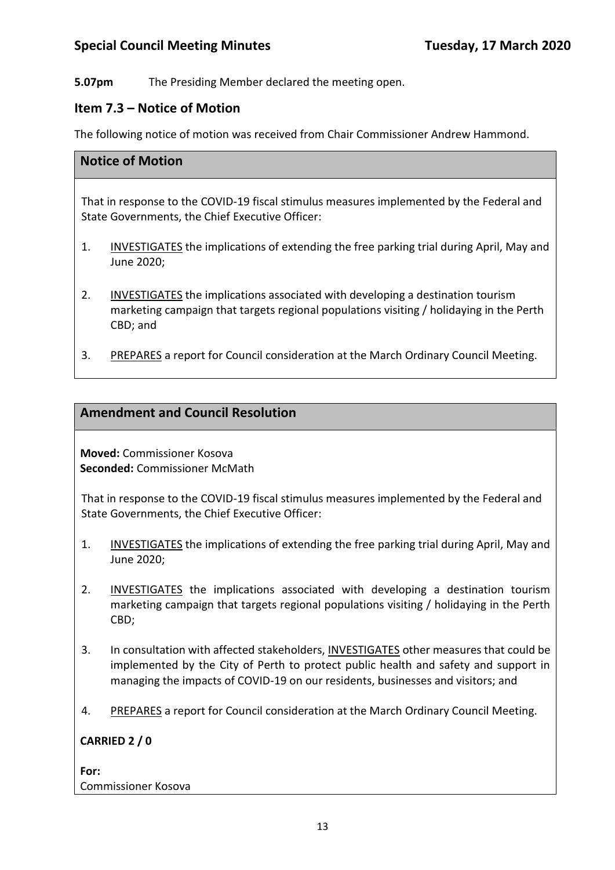**5.07pm** The Presiding Member declared the meeting open.

#### **Item 7.3 – Notice of Motion**

The following notice of motion was received from Chair Commissioner Andrew Hammond.

#### **Notice of Motion**

That in response to the COVID-19 fiscal stimulus measures implemented by the Federal and State Governments, the Chief Executive Officer:

- 1. INVESTIGATES the implications of extending the free parking trial during April, May and June 2020;
- 2. INVESTIGATES the implications associated with developing a destination tourism marketing campaign that targets regional populations visiting / holidaying in the Perth CBD; and
- 3. PREPARES a report for Council consideration at the March Ordinary Council Meeting.

#### **Amendment and Council Resolution**

**Moved:** Commissioner Kosova **Seconded:** Commissioner McMath

That in response to the COVID-19 fiscal stimulus measures implemented by the Federal and State Governments, the Chief Executive Officer:

- 1. INVESTIGATES the implications of extending the free parking trial during April, May and June 2020;
- 2. INVESTIGATES the implications associated with developing a destination tourism marketing campaign that targets regional populations visiting / holidaying in the Perth CBD;
- 3. In consultation with affected stakeholders, INVESTIGATES other measures that could be implemented by the City of Perth to protect public health and safety and support in managing the impacts of COVID-19 on our residents, businesses and visitors; and
- 4. PREPARES a report for Council consideration at the March Ordinary Council Meeting.

#### **CARRIED 2 / 0**

**For:**  Commissioner Kosova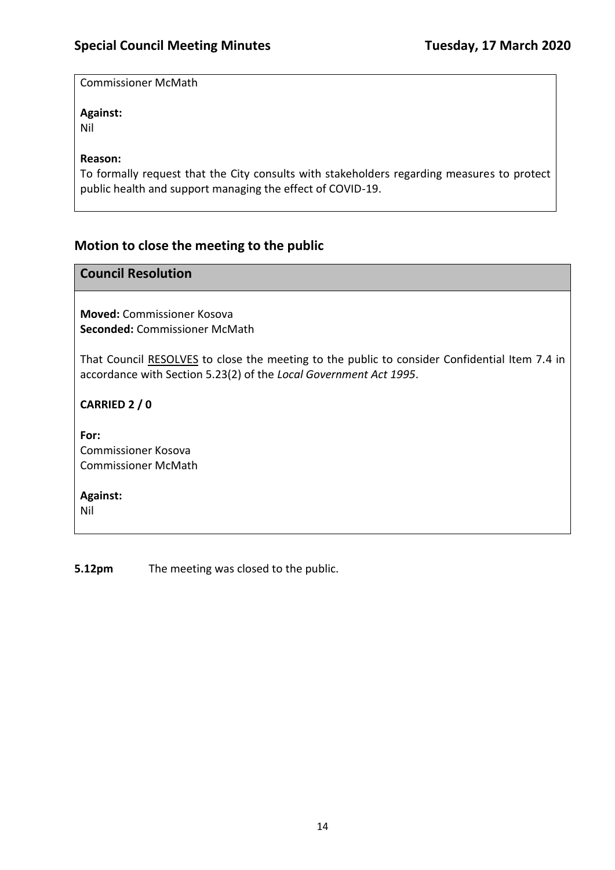Commissioner McMath

#### **Against:**

Nil

#### **Reason:**

To formally request that the City consults with stakeholders regarding measures to protect public health and support managing the effect of COVID-19.

# **Motion to close the meeting to the public**

#### **Council Resolution**

**Moved:** Commissioner Kosova **Seconded:** Commissioner McMath

That Council RESOLVES to close the meeting to the public to consider Confidential Item 7.4 in accordance with Section 5.23(2) of the *Local Government Act 1995*.

**CARRIED 2 / 0**

**For:**  Commissioner Kosova Commissioner McMath

**Against:** 

Nil

**5.12pm** The meeting was closed to the public.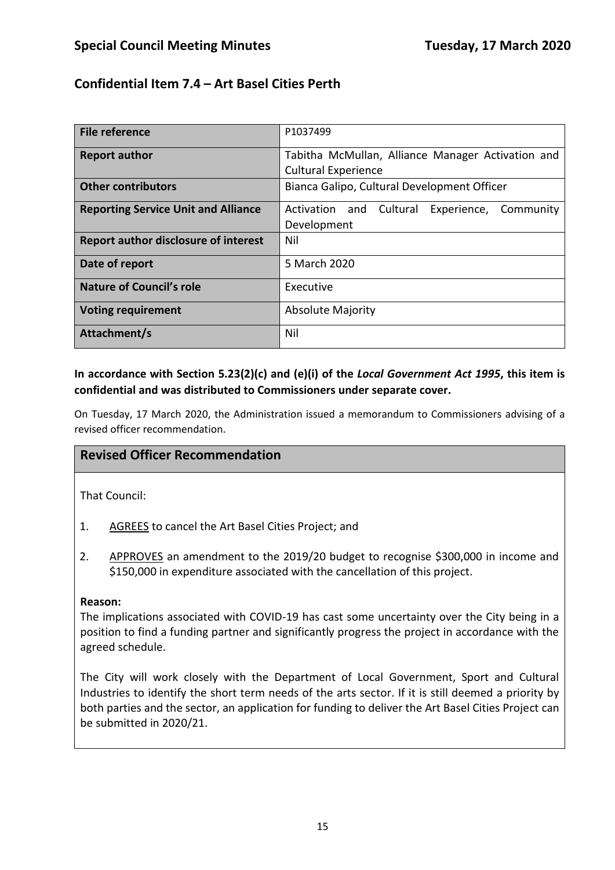## **Confidential Item 7.4 – Art Basel Cities Perth**

| File reference                              | P1037499                                            |  |
|---------------------------------------------|-----------------------------------------------------|--|
| <b>Report author</b>                        | Tabitha McMullan, Alliance Manager Activation and   |  |
|                                             | <b>Cultural Experience</b>                          |  |
| <b>Other contributors</b>                   | Bianca Galipo, Cultural Development Officer         |  |
| <b>Reporting Service Unit and Alliance</b>  | Activation and<br>Cultural<br>Experience, Community |  |
|                                             | Development                                         |  |
| <b>Report author disclosure of interest</b> | Nil                                                 |  |
| Date of report                              | 5 March 2020                                        |  |
| <b>Nature of Council's role</b>             | Executive                                           |  |
| <b>Voting requirement</b>                   | <b>Absolute Majority</b>                            |  |
| Attachment/s                                | Nil                                                 |  |

### **In accordance with Section 5.23(2)(c) and (e)(i) of the** *Local Government Act 1995***, this item is confidential and was distributed to Commissioners under separate cover.**

On Tuesday, 17 March 2020, the Administration issued a memorandum to Commissioners advising of a revised officer recommendation.

### **Revised Officer Recommendation**

That Council:

- 1. AGREES to cancel the Art Basel Cities Project; and
- 2. APPROVES an amendment to the 2019/20 budget to recognise \$300,000 in income and \$150,000 in expenditure associated with the cancellation of this project.

#### **Reason:**

The implications associated with COVID-19 has cast some uncertainty over the City being in a position to find a funding partner and significantly progress the project in accordance with the agreed schedule.

The City will work closely with the Department of Local Government, Sport and Cultural Industries to identify the short term needs of the arts sector. If it is still deemed a priority by both parties and the sector, an application for funding to deliver the Art Basel Cities Project can be submitted in 2020/21.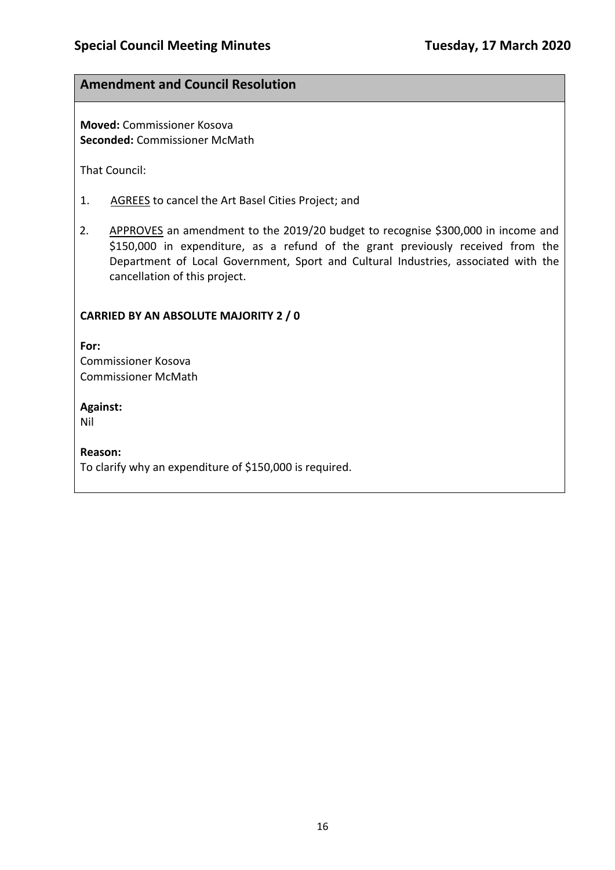### **Amendment and Council Resolution**

**Moved:** Commissioner Kosova **Seconded:** Commissioner McMath

That Council:

- 1. AGREES to cancel the Art Basel Cities Project; and
- 2. APPROVES an amendment to the 2019/20 budget to recognise \$300,000 in income and \$150,000 in expenditure, as a refund of the grant previously received from the Department of Local Government, Sport and Cultural Industries, associated with the cancellation of this project.

#### **CARRIED BY AN ABSOLUTE MAJORITY 2 / 0**

**For:**  Commissioner Kosova Commissioner McMath

**Against:** 

Nil

**Reason:** 

To clarify why an expenditure of \$150,000 is required.